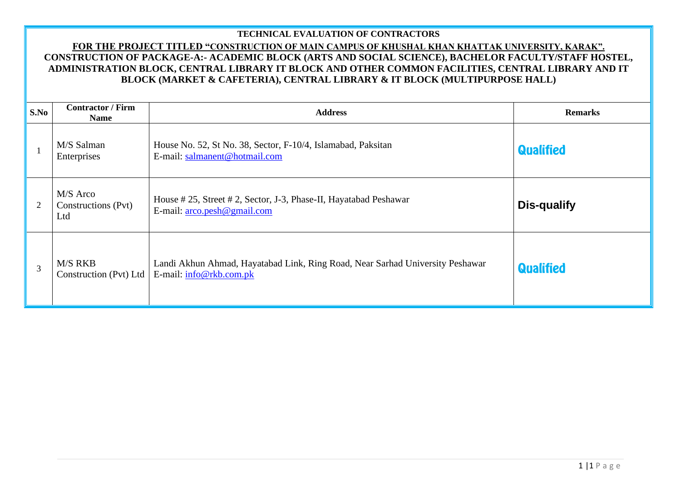## **TECHNICAL EVALUATION OF CONTRACTORS**

## **FOR THE PROJECT TITLED "CONSTRUCTION OF MAIN CAMPUS OF KHUSHAL KHAN KHATTAK UNIVERSITY, KARAK". CONSTRUCTION OF PACKAGE-A:- ACADEMIC BLOCK (ARTS AND SOCIAL SCIENCE), BACHELOR FACULTY/STAFF HOSTEL, ADMINISTRATION BLOCK, CENTRAL LIBRARY IT BLOCK AND OTHER COMMON FACILITIES, CENTRAL LIBRARY AND IT BLOCK (MARKET & CAFETERIA), CENTRAL LIBRARY & IT BLOCK (MULTIPURPOSE HALL)**

| $\mathbf{S}.\mathbf{No}$ | <b>Contractor / Firm</b><br><b>Name</b> | <b>Address</b>                                                                                           | <b>Remarks</b>   |
|--------------------------|-----------------------------------------|----------------------------------------------------------------------------------------------------------|------------------|
|                          | M/S Salman<br>Enterprises               | House No. 52, St No. 38, Sector, F-10/4, Islamabad, Paksitan<br>E-mail: salmanent@hotmail.com            | <b>Qualified</b> |
| $\overline{2}$           | M/S Arco<br>Constructions (Pvt)<br>Ltd  | House #25, Street #2, Sector, J-3, Phase-II, Hayatabad Peshawar<br>E-mail: $arco. pesh@gmail.com$        | Dis-qualify      |
| 3                        | M/S RKB<br>Construction (Pvt) Ltd       | Landi Akhun Ahmad, Hayatabad Link, Ring Road, Near Sarhad University Peshawar<br>E-mail: info@rkb.com.pk | <b>Qualified</b> |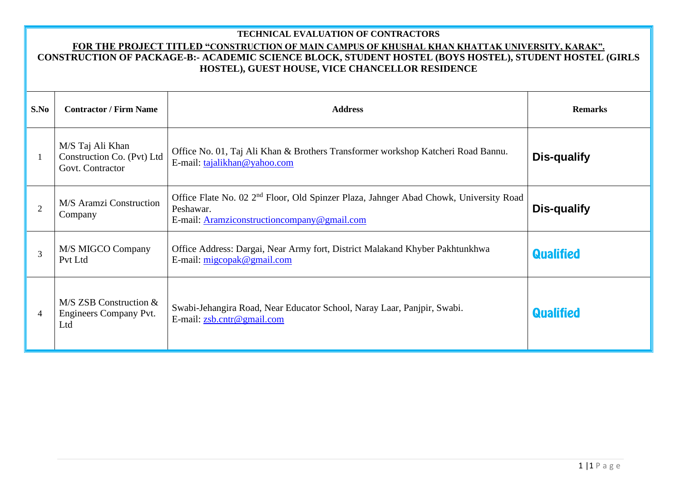## **TECHNICAL EVALUATION OF CONTRACTORS**

## **FOR THE PROJECT TITLED "CONSTRUCTION OF MAIN CAMPUS OF KHUSHAL KHAN KHATTAK UNIVERSITY, KARAK". CONSTRUCTION OF PACKAGE-B:- ACADEMIC SCIENCE BLOCK, STUDENT HOSTEL (BOYS HOSTEL), STUDENT HOSTEL (GIRLS HOSTEL), GUEST HOUSE, VICE CHANCELLOR RESIDENCE**

| S.No           | <b>Contractor / Firm Name</b>                                      | <b>Address</b>                                                                                                                                                 | <b>Remarks</b>     |  |  |  |  |
|----------------|--------------------------------------------------------------------|----------------------------------------------------------------------------------------------------------------------------------------------------------------|--------------------|--|--|--|--|
|                | M/S Taj Ali Khan<br>Construction Co. (Pvt) Ltd<br>Govt. Contractor | Office No. 01, Taj Ali Khan & Brothers Transformer workshop Katcheri Road Bannu.<br>E-mail: tajalikhan@yahoo.com                                               | <b>Dis-qualify</b> |  |  |  |  |
| $\overline{2}$ | M/S Aramzi Construction<br>Company                                 | Office Flate No. 02 2 <sup>nd</sup> Floor, Old Spinzer Plaza, Jahnger Abad Chowk, University Road<br>Peshawar.<br>E-mail: Aramziconstruction company@gmail.com | Dis-qualify        |  |  |  |  |
| $\overline{3}$ | M/S MIGCO Company<br>Pvt Ltd                                       | Office Address: Dargai, Near Army fort, District Malakand Khyber Pakhtunkhwa<br>E-mail: $migcopak@gmail.com$                                                   | <b>Qualified</b>   |  |  |  |  |
| $\overline{4}$ | $M/S$ ZSB Construction $&$<br>Engineers Company Pvt.<br>Ltd        | Swabi-Jehangira Road, Near Educator School, Naray Laar, Panjpir, Swabi.<br>E-mail: zsb.cntr@gmail.com                                                          | <b>Qualified</b>   |  |  |  |  |